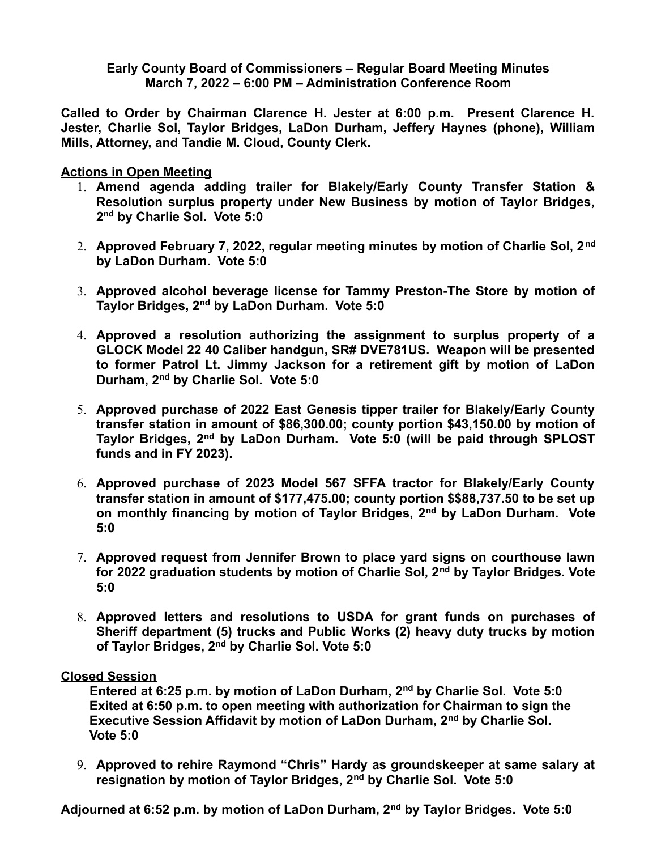**Early County Board of Commissioners – Regular Board Meeting Minutes March 7, 2022 – 6:00 PM – Administration Conference Room**

**Called to Order by Chairman Clarence H. Jester at 6:00 p.m. Present Clarence H. Jester, Charlie Sol, Taylor Bridges, LaDon Durham, Jeffery Haynes (phone), William Mills, Attorney, and Tandie M. Cloud, County Clerk.** 

**Actions in Open Meeting**

- 1. **Amend agenda adding trailer for Blakely/Early County Transfer Station & Resolution surplus property under New Business by motion of Taylor Bridges, 2 nd by Charlie Sol. Vote 5:0**
- 2. **Approved February 7, 2022, regular meeting minutes by motion of Charlie Sol, 2nd by LaDon Durham. Vote 5:0**
- 3. **Approved alcohol beverage license for Tammy Preston-The Store by motion of Taylor Bridges, 2nd by LaDon Durham. Vote 5:0**
- 4. **Approved a resolution authorizing the assignment to surplus property of a GLOCK Model 22 40 Caliber handgun, SR# DVE781US. Weapon will be presented to former Patrol Lt. Jimmy Jackson for a retirement gift by motion of LaDon Durham, 2nd by Charlie Sol. Vote 5:0**
- 5. **Approved purchase of 2022 East Genesis tipper trailer for Blakely/Early County transfer station in amount of \$86,300.00; county portion \$43,150.00 by motion of Taylor Bridges, 2nd by LaDon Durham. Vote 5:0 (will be paid through SPLOST funds and in FY 2023).**
- 6. **Approved purchase of 2023 Model 567 SFFA tractor for Blakely/Early County transfer station in amount of \$177,475.00; county portion \$\$88,737.50 to be set up on monthly financing by motion of Taylor Bridges, 2nd by LaDon Durham. Vote 5:0**
- 7. **Approved request from Jennifer Brown to place yard signs on courthouse lawn for 2022 graduation students by motion of Charlie Sol, 2nd by Taylor Bridges. Vote 5:0**
- 8. **Approved letters and resolutions to USDA for grant funds on purchases of Sheriff department (5) trucks and Public Works (2) heavy duty trucks by motion of Taylor Bridges, 2nd by Charlie Sol. Vote 5:0**

## **Closed Session**

 **Entered at 6:25 p.m. by motion of LaDon Durham, 2nd by Charlie Sol. Vote 5:0 Exited at 6:50 p.m. to open meeting with authorization for Chairman to sign the Executive Session Affidavit by motion of LaDon Durham, 2nd by Charlie Sol. Vote 5:0**

9. **Approved to rehire Raymond "Chris" Hardy as groundskeeper at same salary at resignation by motion of Taylor Bridges, 2nd by Charlie Sol. Vote 5:0**

**Adjourned at 6:52 p.m. by motion of LaDon Durham, 2nd by Taylor Bridges. Vote 5:0**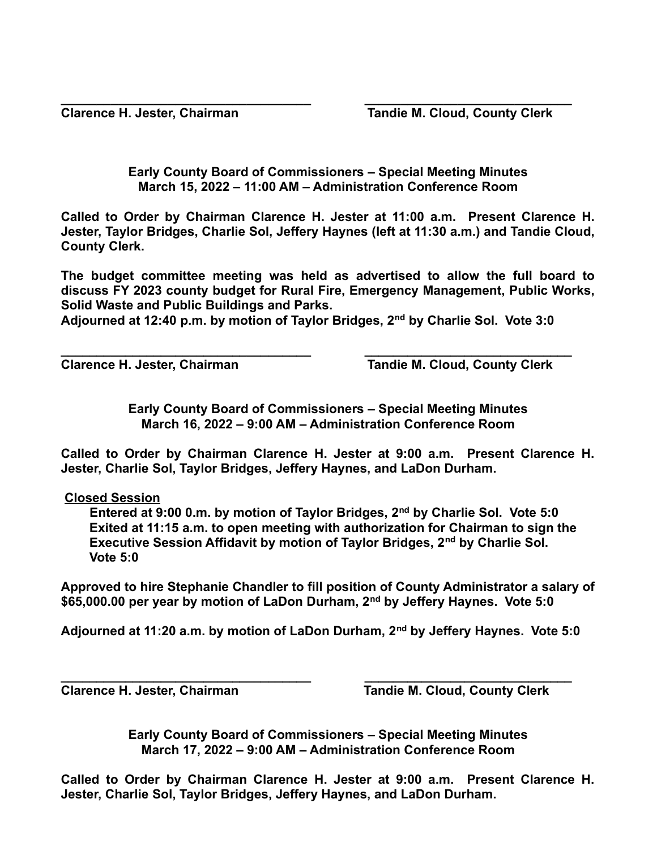**Clarence H. Jester, Chairman Tandie M. Cloud, County Clerk** 

**Early County Board of Commissioners – Special Meeting Minutes March 15, 2022 – 11:00 AM – Administration Conference Room**

**\_\_\_\_\_\_\_\_\_\_\_\_\_\_\_\_\_\_\_\_\_\_\_\_\_\_\_\_\_\_\_\_\_\_\_ \_\_\_\_\_\_\_\_\_\_\_\_\_\_\_\_\_\_\_\_\_\_\_\_\_\_\_\_\_**

**Called to Order by Chairman Clarence H. Jester at 11:00 a.m. Present Clarence H. Jester, Taylor Bridges, Charlie Sol, Jeffery Haynes (left at 11:30 a.m.) and Tandie Cloud, County Clerk.** 

**The budget committee meeting was held as advertised to allow the full board to discuss FY 2023 county budget for Rural Fire, Emergency Management, Public Works, Solid Waste and Public Buildings and Parks.**

**Adjourned at 12:40 p.m. by motion of Taylor Bridges, 2nd by Charlie Sol. Vote 3:0**

**\_\_\_\_\_\_\_\_\_\_\_\_\_\_\_\_\_\_\_\_\_\_\_\_\_\_\_\_\_\_\_\_\_\_\_ \_\_\_\_\_\_\_\_\_\_\_\_\_\_\_\_\_\_\_\_\_\_\_\_\_\_\_\_\_**

Clarence H. Jester, Chairman **Tandie M. Cloud, County Clerk** 

**Early County Board of Commissioners – Special Meeting Minutes March 16, 2022 – 9:00 AM – Administration Conference Room**

**Called to Order by Chairman Clarence H. Jester at 9:00 a.m. Present Clarence H. Jester, Charlie Sol, Taylor Bridges, Jeffery Haynes, and LaDon Durham.** 

**Closed Session**

 **Entered at 9:00 0.m. by motion of Taylor Bridges, 2nd by Charlie Sol. Vote 5:0 Exited at 11:15 a.m. to open meeting with authorization for Chairman to sign the Executive Session Affidavit by motion of Taylor Bridges, 2nd by Charlie Sol. Vote 5:0**

**Approved to hire Stephanie Chandler to fill position of County Administrator a salary of \$65,000.00 per year by motion of LaDon Durham, 2nd by Jeffery Haynes. Vote 5:0**

**Adjourned at 11:20 a.m. by motion of LaDon Durham, 2nd by Jeffery Haynes. Vote 5:0**

**\_\_\_\_\_\_\_\_\_\_\_\_\_\_\_\_\_\_\_\_\_\_\_\_\_\_\_\_\_\_\_\_\_\_\_ \_\_\_\_\_\_\_\_\_\_\_\_\_\_\_\_\_\_\_\_\_\_\_\_\_\_\_\_\_ Clarence H. Jester, Chairman Tandie M. Cloud, County Clerk** 

> **Early County Board of Commissioners – Special Meeting Minutes March 17, 2022 – 9:00 AM – Administration Conference Room**

**Called to Order by Chairman Clarence H. Jester at 9:00 a.m. Present Clarence H. Jester, Charlie Sol, Taylor Bridges, Jeffery Haynes, and LaDon Durham.**